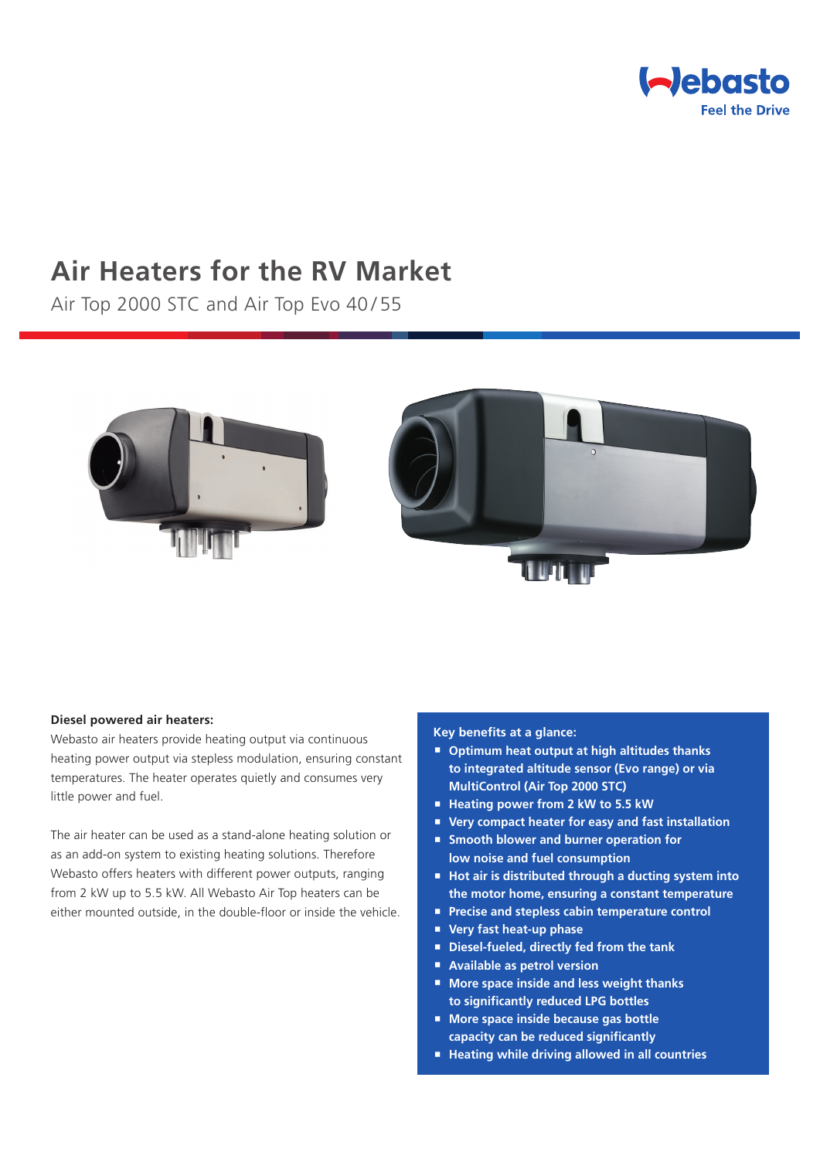

# **Air Heaters for the RV Market**

Air Top 2000 STC and Air Top Evo 40/55



### **Diesel powered air heaters:**

Webasto air heaters provide heating output via continuous heating power output via stepless modulation, ensuring constant temperatures. The heater operates quietly and consumes very little power and fuel.

The air heater can be used as a stand-alone heating solution or as an add-on system to existing heating solutions. Therefore Webasto offers heaters with different power outputs, ranging from 2 kW up to 5.5 kW. All Webasto Air Top heaters can be either mounted outside, in the double-floor or inside the vehicle.

## **Key benefits at a glance:**

- **Optimum heat output at high altitudes thanks to integrated altitude sensor (Evo range) or via MultiControl (Air Top 2000 STC)**
- **Heating power from 2 kW to 5.5 kW**
- **Very compact heater for easy and fast installation**
- **Smooth blower and burner operation for low noise and fuel consumption**
- Hot air is distributed through a ducting system into **the motor home, ensuring a constant temperature**
- **Precise and stepless cabin temperature control**
- **Very fast heat-up phase**
- **Diesel-fueled, directly fed from the tank**
- **Available as petrol version**
- **More space inside and less weight thanks to significantly reduced LPG bottles**
- **More space inside because gas bottle capacity can be reduced significantly**
- Heating while driving allowed in all countries